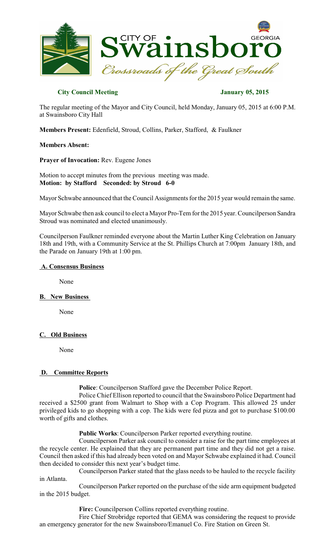

# **City Council Meeting January 05, 2015**

The regular meeting of the Mayor and City Council, held Monday, January 05, 2015 at 6:00 P.M. at Swainsboro City Hall

**Members Present:** Edenfield, Stroud, Collins, Parker, Stafford, & Faulkner

## **Members Absent:**

**Prayer of Invocation:** Rev. Eugene Jones

Motion to accept minutes from the previous meeting was made. **Motion: by Stafford Seconded: by Stroud 6-0**

Mayor Schwabe announced that the Council Assignments for the 2015 year would remain the same.

Mayor Schwabe then ask council to elect a Mayor Pro-Tem for the 2015 year. Councilperson Sandra Stroud was nominated and elected unanimously.

Councilperson Faulkner reminded everyone about the Martin Luther King Celebration on January 18th and 19th, with a Community Service at the St. Phillips Church at 7:00pm January 18th, and the Parade on January 19th at 1:00 pm.

#### **A. Consensus Business**

None

## **B. New Business**

None

## **C. Old Business**

None

## **D. Committee Reports**

**Police**: Councilperson Stafford gave the December Police Report.

Police Chief Ellison reported to council that the Swainsboro Police Department had received a \$2500 grant from Walmart to Shop with a Cop Program. This allowed 25 under privileged kids to go shopping with a cop. The kids were fed pizza and got to purchase \$100.00 worth of gifts and clothes.

**Public Works**: Councilperson Parker reported everything routine.

Councilperson Parker ask council to consider a raise for the part time employees at the recycle center. He explained that they are permanent part time and they did not get a raise. Council then asked if this had already been voted on and Mayor Schwabe explained it had. Council then decided to consider this next year's budget time.

Councilperson Parker stated that the glass needs to be hauled to the recycle facility in Atlanta.

Councilperson Parker reported on the purchase of the side arm equipment budgeted in the 2015 budget.

**Fire:** Councilperson Collins reported everything routine.

Fire Chief Strobridge reported that GEMA was considering the request to provide an emergency generator for the new Swainsboro/Emanuel Co. Fire Station on Green St.